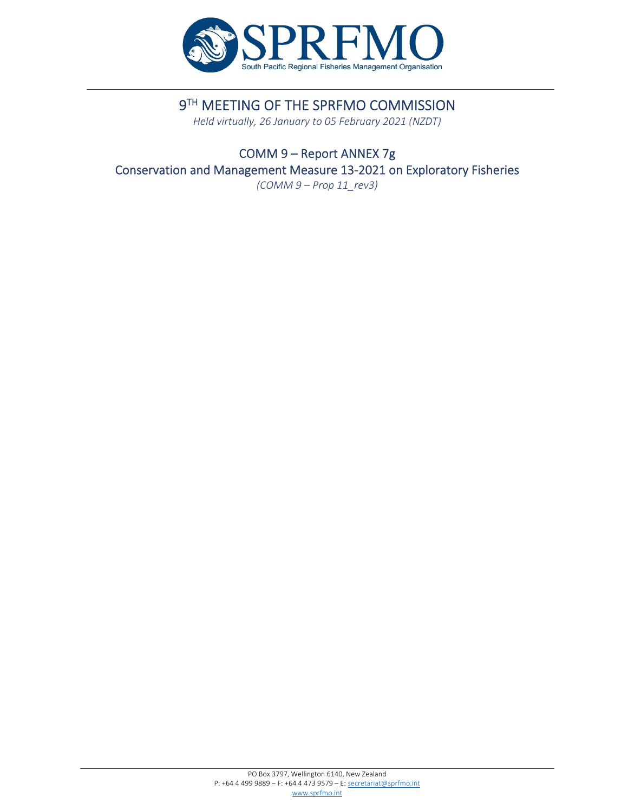

# 9TH MEETING OF THE SPRFMO COMMISSION

*Held virtually, 26 January to 05 February 2021 (NZDT)*

COMM 9 – Report ANNEX 7g Conservation and Management Measure 13‐2021 on Exploratory Fisheries *(COMM 9 – Prop 11\_rev3)*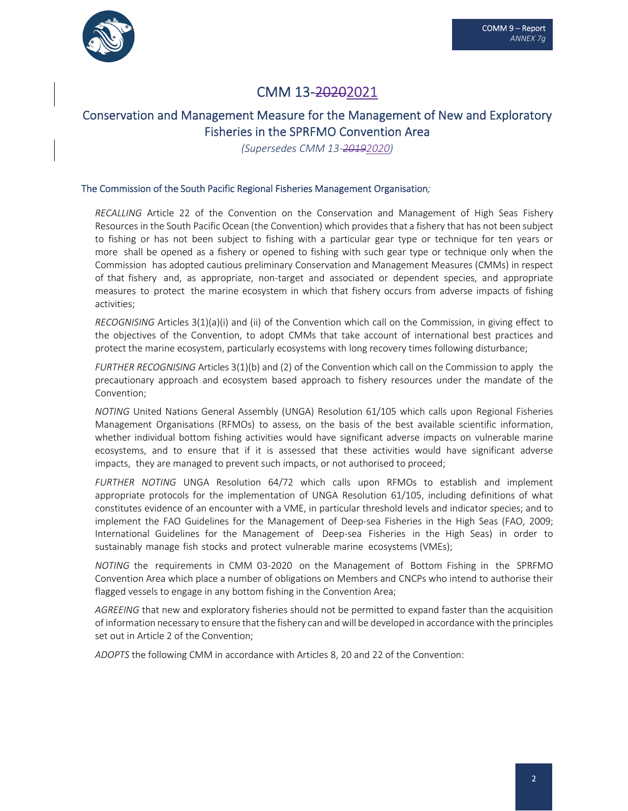

## CMM 13‐20202021

## Conservation and Management Measure for the Management of New and Exploratory Fisheries in the SPRFMO Convention Area

*(Supersedes CMM 13‐20192020)*

#### The Commission of the South Pacific Regional Fisheries Management Organisation*;*

*RECALLING* Article 22 of the Convention on the Conservation and Management of High Seas Fishery Resources in the South Pacific Ocean (the Convention) which provides that a fishery that has not been subject to fishing or has not been subject to fishing with a particular gear type or technique for ten years or more shall be opened as a fishery or opened to fishing with such gear type or technique only when the Commission has adopted cautious preliminary Conservation and Management Measures (CMMs) in respect of that fishery and, as appropriate, non‐target and associated or dependent species, and appropriate measures to protect the marine ecosystem in which that fishery occurs from adverse impacts of fishing activities;

*RECOGNISING* Articles 3(1)(a)(i) and (ii) of the Convention which call on the Commission, in giving effect to the objectives of the Convention, to adopt CMMs that take account of international best practices and protect the marine ecosystem, particularly ecosystems with long recovery times following disturbance;

*FURTHER RECOGNISING* Articles 3(1)(b) and (2) of the Convention which call on the Commission to apply the precautionary approach and ecosystem based approach to fishery resources under the mandate of the Convention;

*NOTING* United Nations General Assembly (UNGA) Resolution 61/105 which calls upon Regional Fisheries Management Organisations (RFMOs) to assess, on the basis of the best available scientific information, whether individual bottom fishing activities would have significant adverse impacts on vulnerable marine ecosystems, and to ensure that if it is assessed that these activities would have significant adverse impacts, they are managed to prevent such impacts, or not authorised to proceed;

*FURTHER NOTING* UNGA Resolution 64/72 which calls upon RFMOs to establish and implement appropriate protocols for the implementation of UNGA Resolution 61/105, including definitions of what constitutes evidence of an encounter with a VME, in particular threshold levels and indicator species; and to implement the FAO Guidelines for the Management of Deep-sea Fisheries in the High Seas (FAO, 2009; International Guidelines for the Management of Deep‐sea Fisheries in the High Seas) in order to sustainably manage fish stocks and protect vulnerable marine ecosystems (VMEs);

*NOTING* the requirements in CMM 03‐2020 on the Management of Bottom Fishing in the SPRFMO Convention Area which place a number of obligations on Members and CNCPs who intend to authorise their flagged vessels to engage in any bottom fishing in the Convention Area;

*AGREEING* that new and exploratory fisheries should not be permitted to expand faster than the acquisition of information necessary to ensure that the fishery can andwill be developed in accordancewith the principles set out in Article 2 of the Convention;

*ADOPTS* the following CMM in accordance with Articles 8, 20 and 22 of the Convention: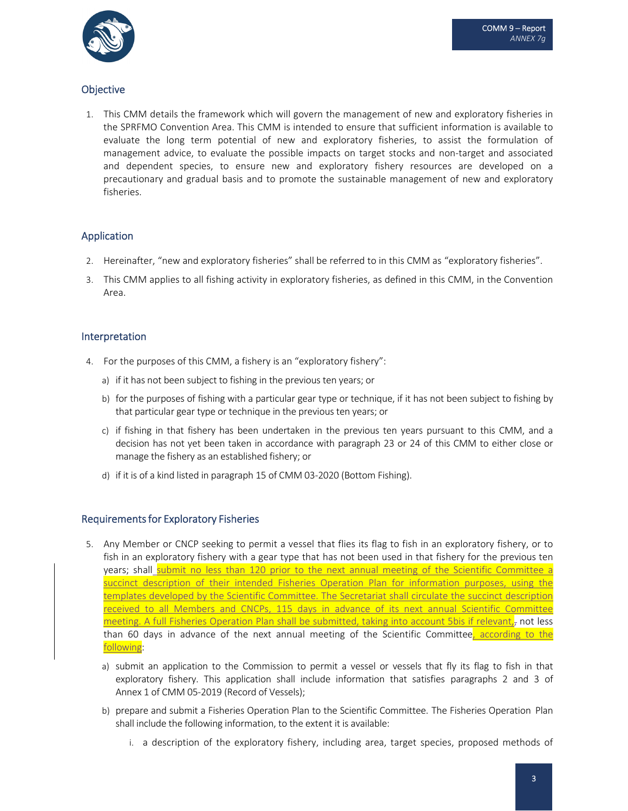

## **Objective**

1. This CMM details the framework which will govern the management of new and exploratory fisheries in the SPRFMO Convention Area. This CMM is intended to ensure that sufficient information is available to evaluate the long term potential of new and exploratory fisheries, to assist the formulation of management advice, to evaluate the possible impacts on target stocks and non‐target and associated and dependent species, to ensure new and exploratory fishery resources are developed on a precautionary and gradual basis and to promote the sustainable management of new and exploratory fisheries.

## Application

- 2. Hereinafter, "new and exploratory fisheries" shall be referred to in this CMM as "exploratory fisheries".
- 3. This CMM applies to all fishing activity in exploratory fisheries, as defined in this CMM, in the Convention Area.

### Interpretation

- 4. For the purposes of this CMM, a fishery is an "exploratory fishery":
	- a) if it has not been subject to fishing in the previous ten years; or
	- b) for the purposes of fishing with a particular gear type or technique, if it has not been subject to fishing by that particular gear type or technique in the previous ten years; or
	- c) if fishing in that fishery has been undertaken in the previous ten years pursuant to this CMM, and a decision has not yet been taken in accordance with paragraph 23 or 24 of this CMM to either close or manage the fishery as an established fishery; or
	- d) if it is of a kind listed in paragraph 15 of CMM 03‐2020 (Bottom Fishing).

### Requirements for Exploratory Fisheries

- 5. Any Member or CNCP seeking to permit a vessel that flies its flag to fish in an exploratory fishery, or to fish in an exploratory fishery with a gear type that has not been used in that fishery for the previous ten years; shall submit no less than 120 prior to the next annual meeting of the Scientific Committee a succinct description of their intended Fisheries Operation Plan for information purposes, using the templates developed by the Scientific Committee. The Secretariat shall circulate the succinct description received to all Members and CNCPs, 115 days in advance of its next annual Scientific Committee meeting. A full Fisheries Operation Plan shall be submitted, taking into account 5bis if relevant, not less than 60 days in advance of the next annual meeting of the Scientific Committee, according to the following:
	- a) submit an application to the Commission to permit a vessel or vessels that fly its flag to fish in that exploratory fishery. This application shall include information that satisfies paragraphs 2 and 3 of Annex 1 of CMM 05‐2019 (Record of Vessels);
	- b) prepare and submit a Fisheries Operation Plan to the Scientific Committee. The Fisheries Operation Plan shall include the following information, to the extent it is available:
		- i. a description of the exploratory fishery, including area, target species, proposed methods of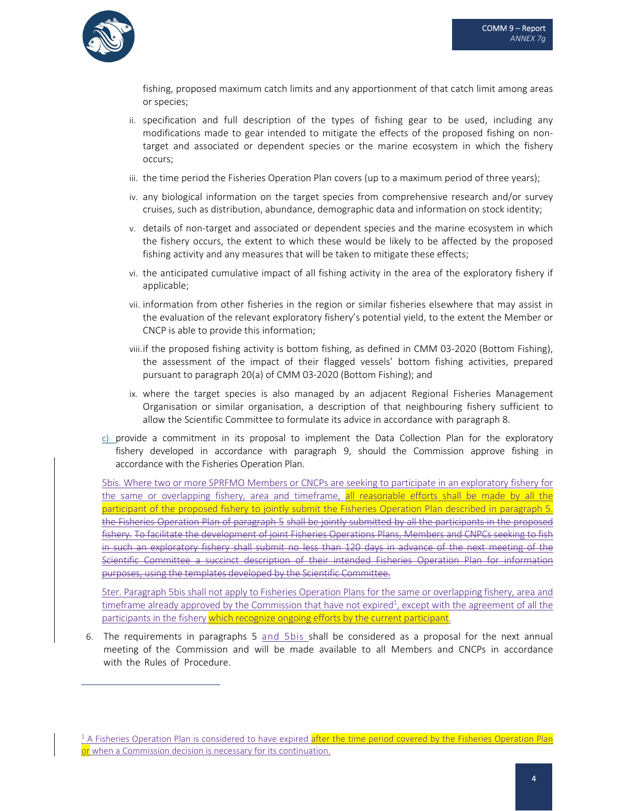

fishing, proposed maximum catch limits and any apportionment of that catch limit among areas or species;

- ii. specification and full description of the types of fishing gear to be used, including any modifications made to gear intended to mitigate the effects of the proposed fishing on non‐ target and associated or dependent species or the marine ecosystem in which the fishery occurs;
- iii. the time period the Fisheries Operation Plan covers (up to a maximum period of three years);
- iv. any biological information on the target species from comprehensive research and/or survey cruises, such as distribution, abundance, demographic data and information on stock identity;
- v. details of non-target and associated or dependent species and the marine ecosystem in which the fishery occurs, the extent to which these would be likely to be affected by the proposed fishing activity and any measures that will be taken to mitigate these effects;
- vi. the anticipated cumulative impact of all fishing activity in the area of the exploratory fishery if applicable;
- vii. information from other fisheries in the region or similar fisheries elsewhere that may assist in the evaluation of the relevant exploratory fishery's potential yield, to the extent the Member or CNCP is able to provide this information;
- viii.if the proposed fishing activity is bottom fishing, as defined in CMM 03‐2020 (Bottom Fishing), the assessment of the impact of their flagged vessels' bottom fishing activities, prepared pursuant to paragraph 20(a) of CMM 03‐2020 (Bottom Fishing); and
- ix. where the target species is also managed by an adjacent Regional Fisheries Management Organisation or similar organisation, a description of that neighbouring fishery sufficient to allow the Scientific Committee to formulate its advice in accordance with paragraph 8.
- c) provide a commitment in its proposal to implement the Data Collection Plan for the exploratory fishery developed in accordance with paragraph 9, should the Commission approve fishing in accordance with the Fisheries Operation Plan.

5bis. Where two or more SPRFMO Members or CNCPs are seeking to participate in an exploratory fishery for the same or overlapping fishery, area and timeframe, all reasonable efforts shall be made by all the participant of the proposed fishery to jointly submit the Fisheries Operation Plan described in paragraph 5. the Fisheries Operation Plan of paragraph 5 shall be jointly submitted by all the participants in the proposed fishery. To facilitate the development of joint Fisheries Operations Plans, Members and CNPCs seeking to fish in such an exploratory fishery shall submit no less than 120 days in advance of the next meeting of the Scientific Committee a succinct description of their intended Fisheries Operation Plan for information purposes, using the templates developed by the Scientific Committee.

5ter. Paragraph 5bis shall not apply to Fisheries Operation Plans for the same or overlapping fishery, area and  $t$ imeframe already approved by the Commission that have not expired<sup>1</sup>, except with the agreement of all the participants in the fishery which recognize ongoing efforts by the current participant.

6. The requirements in paragraphs 5 and 5bis shall be considered as a proposal for the next annual meeting of the Commission and will be made available to all Members and CNCPs in accordance with the Rules of Procedure.

<sup>&</sup>lt;sup>1</sup> A Fisheries Operation Plan is considered to have expired after the time period covered by the Fisheries Operation Plan or when a Commission decision is necessary for its continuation.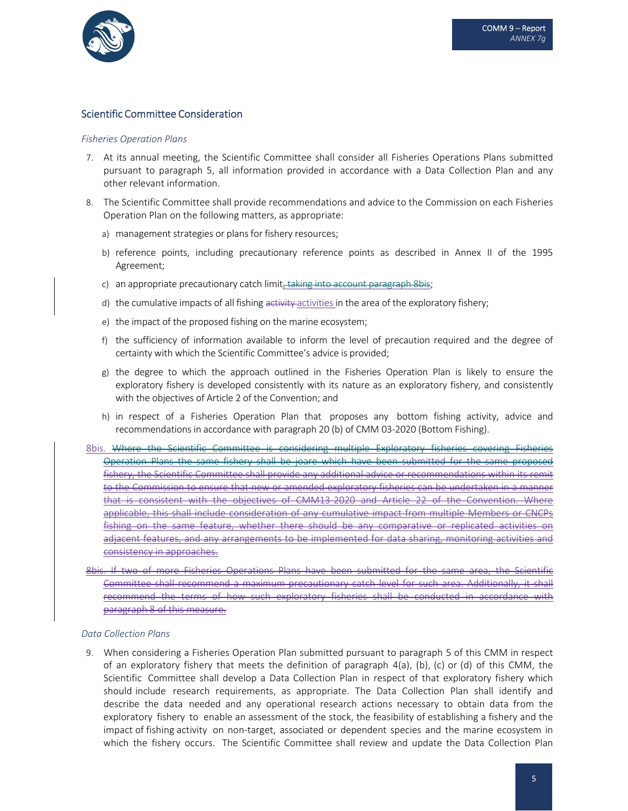

#### Scientific Committee Consideration

#### *Fisheries Operation Plans*

- 7. At its annual meeting, the Scientific Committee shall consider all Fisheries Operations Plans submitted pursuant to paragraph 5, all information provided in accordance with a Data Collection Plan and any other relevant information.
- 8. The Scientific Committee shall provide recommendations and advice to the Commission on each Fisheries Operation Plan on the following matters, as appropriate:
	- a) management strategies or plans for fishery resources;
	- b) reference points, including precautionary reference points as described in Annex II of the 1995 Agreement;
	- c) an appropriate precautionary catch limit, taking into account paragraph 8bis;
	- d) the cumulative impacts of all fishing activity-activities in the area of the exploratory fishery;
	- e) the impact of the proposed fishing on the marine ecosystem;
	- f) the sufficiency of information available to inform the level of precaution required and the degree of certainty with which the Scientific Committee's advice is provided;
	- g) the degree to which the approach outlined in the Fisheries Operation Plan is likely to ensure the exploratory fishery is developed consistently with its nature as an exploratory fishery, and consistently with the objectives of Article 2 of the Convention; and
	- h) in respect of a Fisheries Operation Plan that proposes any bottom fishing activity, advice and recommendations in accordance with paragraph 20 (b) of CMM 03‐2020 (Bottom Fishing).
- 8bis. Where the Scientific Committee is considering multiple Exploratory fisheries covering Fisheries Operation Plans the same fishery shall be joare which have been submitted for the fishery, the Scientific Committee shall provide any additional advice or recommendations within its remit to the Commission to ensure that new or amended exploratory fisheries can be undertaken in a manner that is consistent with the objectives of CMM13-2020 and Article 22 of the Convention. Where applicable, this shall include consideration of any cumulative impact from multiple Members or CNCPs fishing on the same feature, whether there should be any comparative or replicated activities on adjacent features, and any arrangements to be implemented for data sharing, monitoring activities and consistency in approaches.
- 8bis. If two of more Fisheries Operations Plans have been submitted for the same area, the Scientific Committee shall recommend a maximum precautionary catch level for such area. Additionally, it shall recommend the terms of how such exploratory fisheries shall be conducted in accordance paragraph 8 of this measure.

#### *Data Collection Plans*

9. When considering a Fisheries Operation Plan submitted pursuant to paragraph 5 of this CMM in respect of an exploratory fishery that meets the definition of paragraph  $4(a)$ , (b), (c) or (d) of this CMM, the Scientific Committee shall develop a Data Collection Plan in respect of that exploratory fishery which should include research requirements, as appropriate. The Data Collection Plan shall identify and describe the data needed and any operational research actions necessary to obtain data from the exploratory fishery to enable an assessment of the stock, the feasibility of establishing a fishery and the impact of fishing activity on non-target, associated or dependent species and the marine ecosystem in which the fishery occurs. The Scientific Committee shall review and update the Data Collection Plan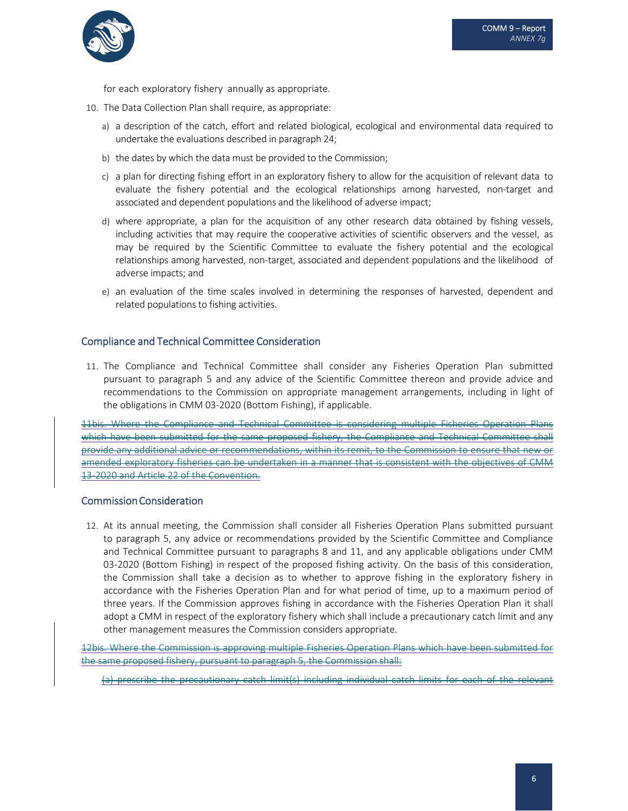

for each exploratory fishery annually as appropriate.

- 10. The Data Collection Plan shall require, as appropriate:
	- a) a description of the catch, effort and related biological, ecological and environmental data required to undertake the evaluations described in paragraph 24;
	- b) the dates by which the data must be provided to the Commission;
	- c) a plan for directing fishing effort in an exploratory fishery to allow for the acquisition of relevant data to evaluate the fishery potential and the ecological relationships among harvested, non-target and associated and dependent populations and the likelihood of adverse impact;
	- d) where appropriate, a plan for the acquisition of any other research data obtained by fishing vessels, including activities that may require the cooperative activities of scientific observers and the vessel, as may be required by the Scientific Committee to evaluate the fishery potential and the ecological relationships among harvested, non-target, associated and dependent populations and the likelihood of adverse impacts; and
	- e) an evaluation of the time scales involved in determining the responses of harvested, dependent and related populations to fishing activities.

### Compliance and Technical Committee Consideration

11. The Compliance and Technical Committee shall consider any Fisheries Operation Plan submitted pursuant to paragraph 5 and any advice of the Scientific Committee thereon and provide advice and recommendations to the Commission on appropriate management arrangements, including in light of the obligations in CMM 03‐2020 (Bottom Fishing), if applicable.

11bis. Where the Compliance and Technical Committee is considering multiple Fisheries Operation Plans which have been submitted for the same proposed fishery, the Compliance and Technical Committee shall provide any additional advice or recommendations, within its remit, to the Commission to ensure that new or amended exploratory fisheries can be undertaken in a manner that is consistent with the objectives of CMM 13‐2020 and Article 22 of the Convention.

### Commission Consideration

12. At its annual meeting, the Commission shall consider all Fisheries Operation Plans submitted pursuant to paragraph 5, any advice or recommendations provided by the Scientific Committee and Compliance and Technical Committee pursuant to paragraphs 8 and 11, and any applicable obligations under CMM 03-2020 (Bottom Fishing) in respect of the proposed fishing activity. On the basis of this consideration, the Commission shall take a decision as to whether to approve fishing in the exploratory fishery in accordance with the Fisheries Operation Plan and for what period of time, up to a maximum period of three years. If the Commission approves fishing in accordance with the Fisheries Operation Plan it shall adopt a CMM in respect of the exploratory fishery which shall include a precautionary catch limit and any other management measures the Commission considers appropriate.

12bis. Where the Commission is approving multiple Fisheries Operation Plans which have been submitted for the same proposed fishery, pursuant to paragraph 5, the Commission shall:

(a) prescribe the precautionary catch limit(s) including individual catch limits for each of the relevant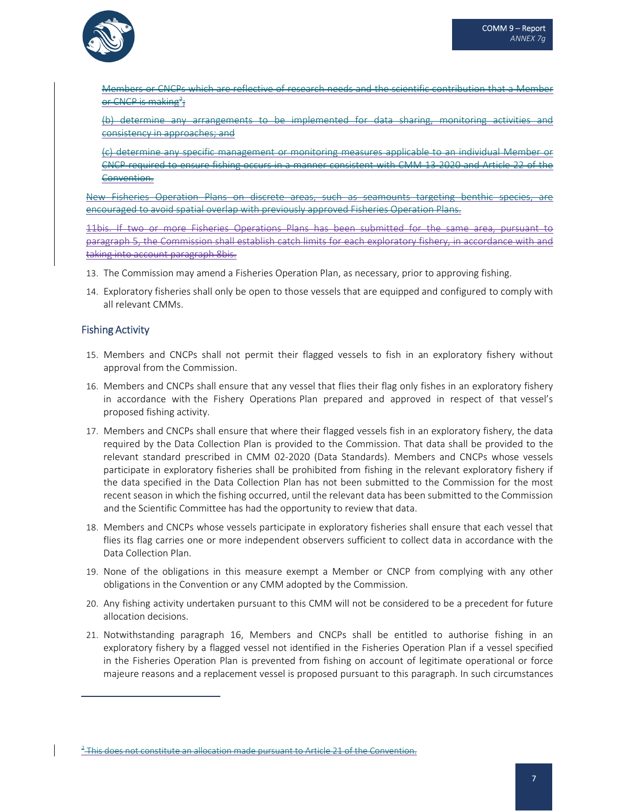

Members or CNCPs which are reflective of research needs and the scientific contribution that a Member or CNCP is making<sup>2</sup>;

(b) determine any arrangements to be implemented for data sharing, monitoring activities and consistency in approaches; and

(c) determine any specific management or monitoring measures applicable to an individual Member or CNCP required to ensure fishing occurs in a manner consistent with CMM 13‐2020 and Article 22 of the Convention.

New Fisheries Operation Plans on discrete areas, such as seamounts targeting benthic species, are encouraged to avoid spatial overlap with previously approved Fisheries Operation Plans.

11bis. If two or more Fisheries Operations Plans has been submitted for the same area, paragraph 5, the Commission shall establish catch limits for each exploratory fishery, in accordance with and taking into account paragraph 8bis.

- 13. The Commission may amend a Fisheries Operation Plan, as necessary, prior to approving fishing.
- 14. Exploratory fisheries shall only be open to those vessels that are equipped and configured to comply with all relevant CMMs.

## Fishing Activity

- 15. Members and CNCPs shall not permit their flagged vessels to fish in an exploratory fishery without approval from the Commission.
- 16. Members and CNCPs shall ensure that any vessel that flies their flag only fishes in an exploratory fishery in accordance with the Fishery Operations Plan prepared and approved in respect of that vessel's proposed fishing activity.
- 17. Members and CNCPs shall ensure that where their flagged vessels fish in an exploratory fishery, the data required by the Data Collection Plan is provided to the Commission. That data shall be provided to the relevant standard prescribed in CMM 02-2020 (Data Standards). Members and CNCPs whose vessels participate in exploratory fisheries shall be prohibited from fishing in the relevant exploratory fishery if the data specified in the Data Collection Plan has not been submitted to the Commission for the most recent season in which the fishing occurred, until the relevant data has been submitted to the Commission and the Scientific Committee has had the opportunity to review that data.
- 18. Members and CNCPs whose vessels participate in exploratory fisheries shall ensure that each vessel that flies its flag carries one or more independent observers sufficient to collect data in accordance with the Data Collection Plan.
- 19. None of the obligations in this measure exempt a Member or CNCP from complying with any other obligations in the Convention or any CMM adopted by the Commission.
- 20. Any fishing activity undertaken pursuant to this CMM will not be considered to be a precedent for future allocation decisions.
- 21. Notwithstanding paragraph 16, Members and CNCPs shall be entitled to authorise fishing in an exploratory fishery by a flagged vessel not identified in the Fisheries Operation Plan if a vessel specified in the Fisheries Operation Plan is prevented from fishing on account of legitimate operational or force majeure reasons and a replacement vessel is proposed pursuant to this paragraph. In such circumstances

<sup>&</sup>lt;sup>2</sup> This does not constitute an allocation made pursuant to Article 21 of the Convention